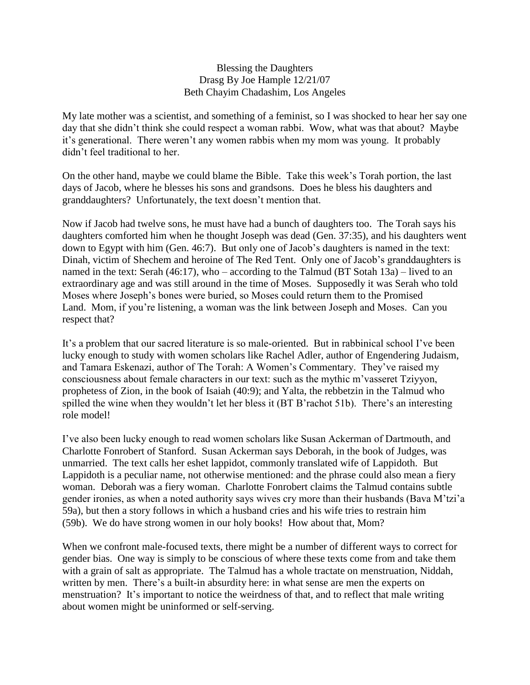## Blessing the Daughters Drasg By Joe Hample 12/21/07 Beth Chayim Chadashim, Los Angeles

My late mother was a scientist, and something of a feminist, so I was shocked to hear her say one day that she didn't think she could respect a woman rabbi. Wow, what was that about? Maybe it's generational. There weren't any women rabbis when my mom was young. It probably didn't feel traditional to her.

On the other hand, maybe we could blame the Bible. Take this week's Torah portion, the last days of Jacob, where he blesses his sons and grandsons. Does he bless his daughters and granddaughters? Unfortunately, the text doesn't mention that.

Now if Jacob had twelve sons, he must have had a bunch of daughters too. The Torah says his daughters comforted him when he thought Joseph was dead (Gen. 37:35), and his daughters went down to Egypt with him (Gen. 46:7). But only one of Jacob's daughters is named in the text: Dinah, victim of Shechem and heroine of The Red Tent. Only one of Jacob's granddaughters is named in the text: Serah (46:17), who – according to the Talmud (BT Sotah 13a) – lived to an extraordinary age and was still around in the time of Moses. Supposedly it was Serah who told Moses where Joseph's bones were buried, so Moses could return them to the Promised Land. Mom, if you're listening, a woman was the link between Joseph and Moses. Can you respect that?

It's a problem that our sacred literature is so male-oriented. But in rabbinical school I've been lucky enough to study with women scholars like Rachel Adler, author of Engendering Judaism, and Tamara Eskenazi, author of The Torah: A Women's Commentary. They've raised my consciousness about female characters in our text: such as the mythic m'vasseret Tziyyon, prophetess of Zion, in the book of Isaiah (40:9); and Yalta, the rebbetzin in the Talmud who spilled the wine when they wouldn't let her bless it (BT B'rachot 51b). There's an interesting role model!

I've also been lucky enough to read women scholars like Susan Ackerman of Dartmouth, and Charlotte Fonrobert of Stanford. Susan Ackerman says Deborah, in the book of Judges, was unmarried. The text calls her eshet lappidot, commonly translated wife of Lappidoth. But Lappidoth is a peculiar name, not otherwise mentioned: and the phrase could also mean a fiery woman. Deborah was a fiery woman. Charlotte Fonrobert claims the Talmud contains subtle gender ironies, as when a noted authority says wives cry more than their husbands (Bava M'tzi'a 59a), but then a story follows in which a husband cries and his wife tries to restrain him (59b). We do have strong women in our holy books! How about that, Mom?

When we confront male-focused texts, there might be a number of different ways to correct for gender bias. One way is simply to be conscious of where these texts come from and take them with a grain of salt as appropriate. The Talmud has a whole tractate on menstruation, Niddah, written by men. There's a built-in absurdity here: in what sense are men the experts on menstruation? It's important to notice the weirdness of that, and to reflect that male writing about women might be uninformed or self-serving.